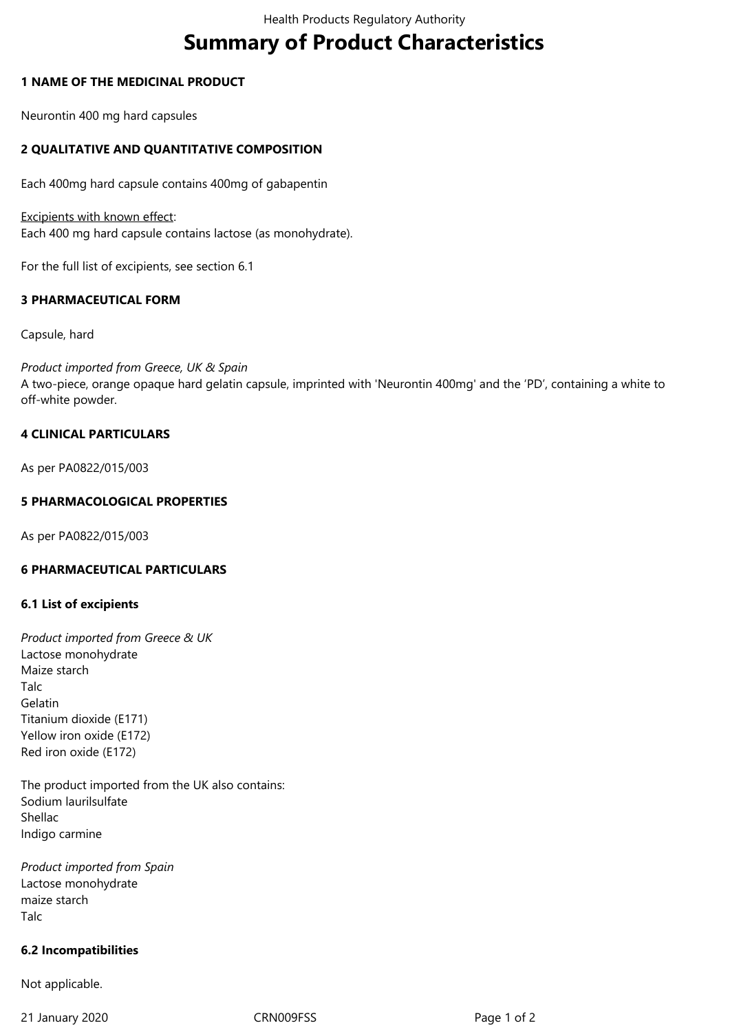# **Summary of Product Characteristics**

## **1 NAME OF THE MEDICINAL PRODUCT**

Neurontin 400 mg hard capsules

# **2 QUALITATIVE AND QUANTITATIVE COMPOSITION**

Each 400mg hard capsule contains 400mg of gabapentin

Excipients with known effect: Each 400 mg hard capsule contains lactose (as monohydrate).

For the full list of excipients, see section 6.1

# **3 PHARMACEUTICAL FORM**

Capsule, hard

*Product imported from Greece, UK & Spain* A two‑piece, orange opaque hard gelatin capsule, imprinted with 'Neurontin 400mg' and the 'PD', containing a white to off-white powder.

# **4 CLINICAL PARTICULARS**

As per PA0822/015/003

## **5 PHARMACOLOGICAL PROPERTIES**

As per PA0822/015/003

#### **6 PHARMACEUTICAL PARTICULARS**

#### **6.1 List of excipients**

*Product imported from Greece & UK* Lactose monohydrate Maize starch Talc Gelatin Titanium dioxide (E171) YeIlow iron oxide (E172) Red iron oxide (E172)

The product imported from the UK also contains: Sodium laurilsulfate Shellac Indigo carmine

*Product imported from Spain* Lactose monohydrate maize starch Talc

#### **6.2 Incompatibilities**

Not applicable.

21 January 2020 CRN009FSS Page 1 of 2